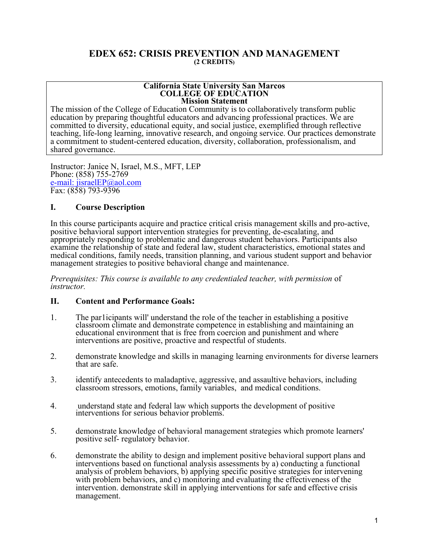# **EDEX 652: CRISIS PREVENTION AND MANAGEMENT (2 CREDITS)**

### **California State University San Marcos COLLEGE OF EDUCATION Mission Statement**

The mission of the College of Education Community is to collaboratively transform public education by preparing thoughtful educators and advancing professional practices. We are committed to diversity, educational equity, and social justice, exemplified through reflective teaching, life-long learning, innovative research, and ongoing service. Our practices demonstrate a commitment to student-centered education, diversity, collaboration, professionalism, and shared governance.

Instructor: Janice N, Israel, M.S., MFT, LEP Phone: (858) 755-2769 e-mail: jisraelEP@aol.com Fax: (858) 793-9396

# **I. Course Description**

In this course participants acquire and practice critical crisis management skills and pro-active, positive behavioral support intervention strategies for preventing, de-escalating, and appropriately responding to problematic and dangerous student behaviors. Participants also examine the relationship of state and federal law, student characteristics, emotional states and medical conditions, family needs, transition planning, and various student support and behavior management strategies to positive behavioral change and maintenance.

*Prerequisites: This course is available to any credentialed teacher, with permission* of *instructor.* 

# **II. Content and Performance Goals:**

- 1. The par1icipants will' understand the role of the teacher in establishing a positive classroom climate and demonstrate competence in establishing and maintaining an educational environment that is free from coercion and punishment and where interventions are positive, proactive and respectful of students.
- 2. demonstrate knowledge and skills in managing learning environments for diverse learners that are safe.
- 3. identify antecedents to maladaptive, aggressive, and assaultive behaviors, including classroom stressors, emotions, family variables, and medical conditions.
- 4. understand state and federal law which supports the development of positive interventions for serious behavior problems.
- 5. demonstrate knowledge of behavioral management strategies which promote learners' positive self- regulatory behavior.
- 6. demonstrate the ability to design and implement positive behavioral support plans and interventions based on functional analysis assessments by a) conducting a functional analysis of problem behaviors, b) applying specific positive strategies for intervening with problem behaviors, and c) monitoring and evaluating the effectiveness of the intervention. demonstrate skill in applying interventions for safe and effective crisis management.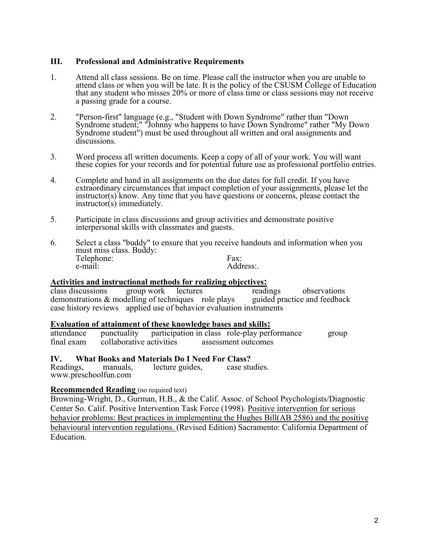# **III. Professional and Administrative Requirements**

- 1. Attend all class sessions. Be on time. Please call the instructor when you are unable to attend class or when you will be late. It is the policy of the CSUSM College of Education that any student who misses 20% or more of class time or class sessions may not receive a passing grade for a course.
- 2. "Person-first" language (e.g., "Student with Down Syndrome" rather than "Down Syndrome student;" "Johnny who happens to have Down Syndrome" rather "My Down Syndrome student") must be used throughout all written and oral assignments and discussions.
- 3. Word process all written documents. Keep a copy of all of your work. You will want these copies for your records and for potential future use as professional portfolio entries.
- 4. Complete and hand in all assignments on the due dates for full credit. If you have extraordinary circumstances that impact completion of your assignments, please let the instructor(s) know. Any time that you have questions or concerns, please contact the instructor(s) immediately.
- 5. Participate in class discussions and group activities and demonstrate positive interpersonal skills with classmates and guests.
- 6. Select a class "buddy" to ensure that you receive handouts and information when you must miss class. Buddy: Telephone:<br>e-mail: Address:

# **Activities and instructional methods for realizing objectives:**

class discussions group work lectures readings observations<br>demonstrations & modelling of techniques role plays guided practice and feedback demonstrations  $&$  modelling of techniques role plays case history reviews applied use of behavior evaluation instruments

# **Evaluation of attainment of these knowledge bases and skills:**

attendance punctuality participation in class role-play performance group final exam collaborative activities assessment outcomes

# **IV. What Books and Materials Do I Need For Class?**

Readings, manuals, lecture guides, case studies. www.preschoolfun.com

# **Recommended Reading** (no required text)

Browning-Wright, D., Gurman, H.B., & the Calif. Assoc. of School Psychologists/Diagnostic Center So. Calif. Positive Intervention Task Force (1998). Positive intervention for serious behavior problems: Best practices in implementing the Hughes Bill(AB 2586) and the positive behavioural intervention regulations. (Revised Edition) Sacramento: California Department of Education.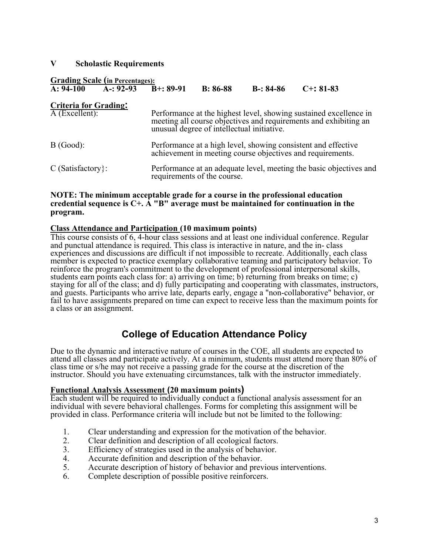# **V Scholastic Requirements**

# **Grading Scale (in Percentages):**<br>A: 94-100 A-: 92-93 B+: 89-91 B: 86-88 B-: 84-86 C+: 81-83

# **Criteria for Grading:**

| $\overline{A}$ (Excellent): | Performance at the highest level, showing sustained excellence in<br>meeting all course objectives and requirements and exhibiting an<br>unusual degree of intellectual initiative. |  |
|-----------------------------|-------------------------------------------------------------------------------------------------------------------------------------------------------------------------------------|--|
| B(Good):                    | Performance at a high level, showing consistent and effective achievement in meeting course objectives and requirements.                                                            |  |
| $C$ (Satisfactory):         | Performance at an adequate level, meeting the basic objectives and<br>requirements of the course.                                                                                   |  |

# **NOTE: The minimum acceptable grade for a course in the professional education credential sequence is C+. A "B" average must be maintained for continuation in the program.**

# **Class Attendance and Participation (10 maximum points)**

This course consists of 6, 4-hour class sessions and at least one individual conference. Regular and punctual attendance is required. This class is interactive in nature, and the in- class experiences and discussions are difficult if not impossible to recreate. Additionally, each class member is expected to practice exemplary collaborative teaming and participatory behavior. To reinforce the program's commitment to the development of professional interpersonal skills, students earn points each class for: a) arriving on time; b) returning from breaks on time; c) staying for all of the class; and d) fully participating and cooperating with classmates, instructors, and guests. Participants who arrive late, departs early, engage a "non-collaborative" behavior, or fail to have assignments prepared on time can expect to receive less than the maximum points for a class or an assignment.

# **College of Education Attendance Policy**

Due to the dynamic and interactive nature of courses in the COE, all students are expected to attend all classes and participate actively. At a minimum, students must attend more than 80% of class time or s/he may not receive a passing grade for the course at the discretion of the instructor. Should you have extenuating circumstances, talk with the instructor immediately.

# **Functional Analysis Assessment (20 maximum points)**

Each student will be required to individually conduct a functional analysis assessment for an individual with severe behavioral challenges. Forms for completing this assignment will be provided in class. Performance criteria will include but not be limited to the following:

- 1. Clear understanding and expression for the motivation of the behavior.
- 2. Clear definition and description of all ecological factors.
- 3. Efficiency of strategies used in the analysis of behavior.
- 4. Accurate definition and description of the behavior.
- 5. Accurate description of history of behavior and previous interventions.
- 6. Complete description of possible positive reinforcers.